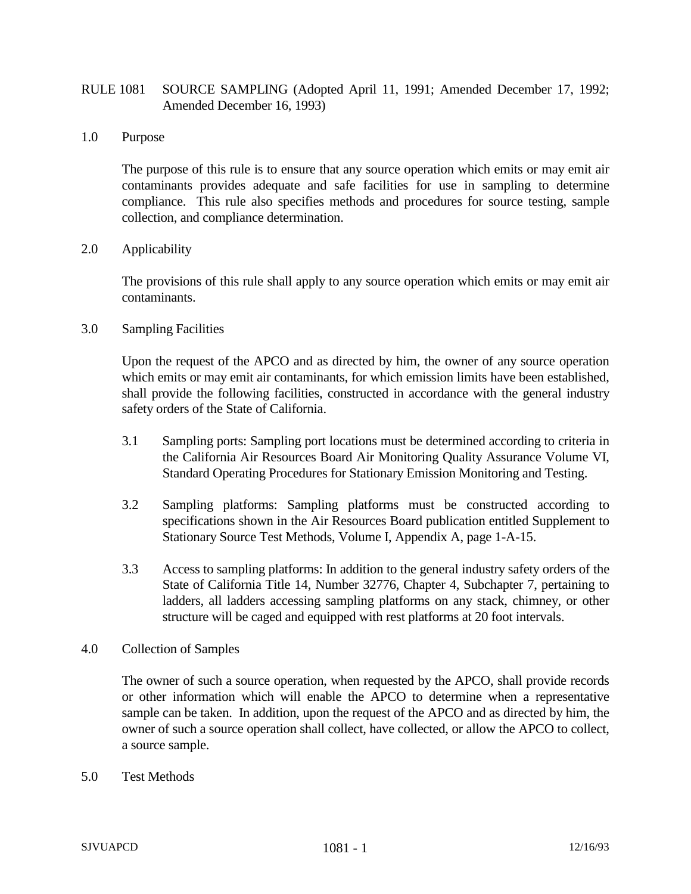## RULE 1081 SOURCE SAMPLING (Adopted April 11, 1991; Amended December 17, 1992; Amended December 16, 1993)

1.0 Purpose

The purpose of this rule is to ensure that any source operation which emits or may emit air contaminants provides adequate and safe facilities for use in sampling to determine compliance. This rule also specifies methods and procedures for source testing, sample collection, and compliance determination.

## 2.0 Applicability

The provisions of this rule shall apply to any source operation which emits or may emit air contaminants.

3.0 Sampling Facilities

Upon the request of the APCO and as directed by him, the owner of any source operation which emits or may emit air contaminants, for which emission limits have been established, shall provide the following facilities, constructed in accordance with the general industry safety orders of the State of California.

- 3.1 Sampling ports: Sampling port locations must be determined according to criteria in the California Air Resources Board Air Monitoring Quality Assurance Volume VI, Standard Operating Procedures for Stationary Emission Monitoring and Testing.
- 3.2 Sampling platforms: Sampling platforms must be constructed according to specifications shown in the Air Resources Board publication entitled Supplement to Stationary Source Test Methods, Volume I, Appendix A, page 1-A-15.
- 3.3 Access to sampling platforms: In addition to the general industry safety orders of the State of California Title 14, Number 32776, Chapter 4, Subchapter 7, pertaining to ladders, all ladders accessing sampling platforms on any stack, chimney, or other structure will be caged and equipped with rest platforms at 20 foot intervals.
- 4.0 Collection of Samples

The owner of such a source operation, when requested by the APCO, shall provide records or other information which will enable the APCO to determine when a representative sample can be taken. In addition, upon the request of the APCO and as directed by him, the owner of such a source operation shall collect, have collected, or allow the APCO to collect, a source sample.

5.0 Test Methods